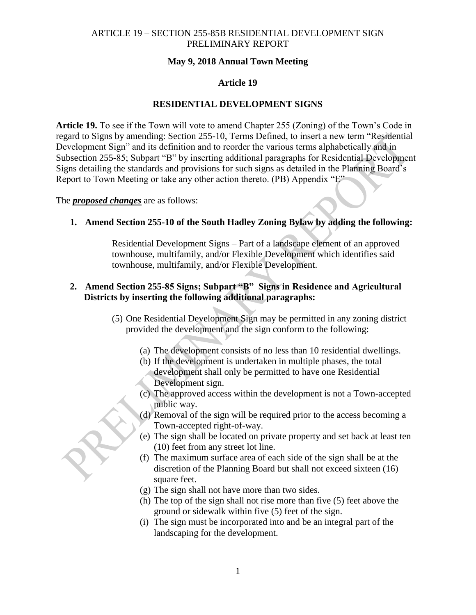## **May 9, 2018 Annual Town Meeting**

#### **Article 19**

#### **RESIDENTIAL DEVELOPMENT SIGNS**

**Article 19.** To see if the Town will vote to amend Chapter 255 (Zoning) of the Town's Code in regard to Signs by amending: Section 255-10, Terms Defined, to insert a new term "Residential Development Sign" and its definition and to reorder the various terms alphabetically and in Subsection 255-85; Subpart "B" by inserting additional paragraphs for Residential Development Signs detailing the standards and provisions for such signs as detailed in the Planning Board's Report to Town Meeting or take any other action thereto. (PB) Appendix "E"

The *proposed changes* are as follows:

#### **1. Amend Section 255-10 of the South Hadley Zoning Bylaw by adding the following:**

Residential Development Signs – Part of a landscape element of an approved townhouse, multifamily, and/or Flexible Development which identifies said townhouse, multifamily, and/or Flexible Development.

## **2. Amend Section 255-85 Signs; Subpart "B" Signs in Residence and Agricultural Districts by inserting the following additional paragraphs:**

- (5) One Residential Development Sign may be permitted in any zoning district provided the development and the sign conform to the following:
	- (a) The development consists of no less than 10 residential dwellings.
	- (b) If the development is undertaken in multiple phases, the total development shall only be permitted to have one Residential Development sign.
	- (c) The approved access within the development is not a Town-accepted public way.
	- (d) Removal of the sign will be required prior to the access becoming a Town-accepted right-of-way.
	- (e) The sign shall be located on private property and set back at least ten (10) feet from any street lot line.
	- (f) The maximum surface area of each side of the sign shall be at the discretion of the Planning Board but shall not exceed sixteen (16) square feet.
	- (g) The sign shall not have more than two sides.
	- (h) The top of the sign shall not rise more than five (5) feet above the ground or sidewalk within five (5) feet of the sign.
	- (i) The sign must be incorporated into and be an integral part of the landscaping for the development.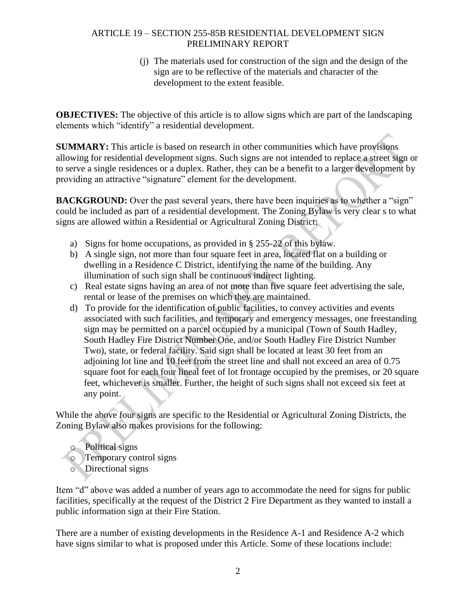(j) The materials used for construction of the sign and the design of the sign are to be reflective of the materials and character of the development to the extent feasible.

**OBJECTIVES:** The objective of this article is to allow signs which are part of the landscaping elements which "identify" a residential development.

**SUMMARY:** This article is based on research in other communities which have provisions allowing for residential development signs. Such signs are not intended to replace a street sign or to serve a single residences or a duplex. Rather, they can be a benefit to a larger development by providing an attractive "signature" element for the development.

**BACKGROUND:** Over the past several years, there have been inquiries as to whether a "sign" could be included as part of a residential development. The Zoning Bylaw is very clear s to what signs are allowed within a Residential or Agricultural Zoning District:

- a) Signs for home occupations, as provided in § 255-22 of this bylaw.
- b) A single sign, not more than four square feet in area, located flat on a building or dwelling in a Residence C District, identifying the name of the building. Any illumination of such sign shall be continuous indirect lighting.
- c) Real estate signs having an area of not more than five square feet advertising the sale, rental or lease of the premises on which they are maintained.
- d) To provide for the identification of public facilities, to convey activities and events associated with such facilities, and temporary and emergency messages, one freestanding sign may be permitted on a parcel occupied by a municipal (Town of South Hadley, South Hadley Fire District Number One, and/or South Hadley Fire District Number Two), state, or federal facility. Said sign shall be located at least 30 feet from an adjoining lot line and 10 feet from the street line and shall not exceed an area of 0.75 square foot for each four lineal feet of lot frontage occupied by the premises, or 20 square feet, whichever is smaller. Further, the height of such signs shall not exceed six feet at any point.

While the above four signs are specific to the Residential or Agricultural Zoning Districts, the Zoning Bylaw also makes provisions for the following:

- o Political signs
- o Temporary control signs
- o Directional signs

Item "d" above was added a number of years ago to accommodate the need for signs for public facilities, specifically at the request of the District 2 Fire Department as they wanted to install a public information sign at their Fire Station.

There are a number of existing developments in the Residence A-1 and Residence A-2 which have signs similar to what is proposed under this Article. Some of these locations include: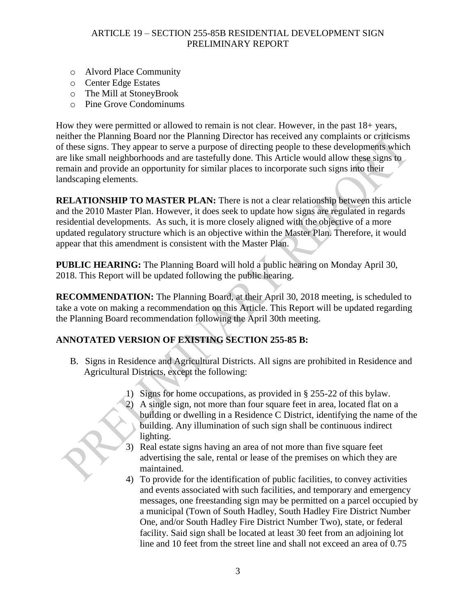- o Alvord Place Community
- o Center Edge Estates
- o The Mill at StoneyBrook
- o Pine Grove Condominums

How they were permitted or allowed to remain is not clear. However, in the past 18+ years, neither the Planning Board nor the Planning Director has received any complaints or criticisms of these signs. They appear to serve a purpose of directing people to these developments which are like small neighborhoods and are tastefully done. This Article would allow these signs to remain and provide an opportunity for similar places to incorporate such signs into their landscaping elements.

**RELATIONSHIP TO MASTER PLAN:** There is not a clear relationship between this article and the 2010 Master Plan. However, it does seek to update how signs are regulated in regards residential developments. As such, it is more closely aligned with the objective of a more updated regulatory structure which is an objective within the Master Plan. Therefore, it would appear that this amendment is consistent with the Master Plan.

**PUBLIC HEARING:** The Planning Board will hold a public hearing on Monday April 30, 2018. This Report will be updated following the public hearing.

**RECOMMENDATION:** The Planning Board, at their April 30, 2018 meeting, is scheduled to take a vote on making a recommendation on this Article. This Report will be updated regarding the Planning Board recommendation following the April 30th meeting.

# **ANNOTATED VERSION OF EXISTING SECTION 255-85 B:**

- B. Signs in Residence and Agricultural Districts. All signs are prohibited in Residence and Agricultural Districts, except the following:
	- 1) Signs for home occupations, as provided in § 255-22 of this bylaw. 2) A single sign, not more than four square feet in area, located flat on a building or dwelling in a Residence C District, identifying the name of the building. Any illumination of such sign shall be continuous indirect lighting.
	- 3) Real estate signs having an area of not more than five square feet advertising the sale, rental or lease of the premises on which they are maintained.
	- 4) To provide for the identification of public facilities, to convey activities and events associated with such facilities, and temporary and emergency messages, one freestanding sign may be permitted on a parcel occupied by a municipal (Town of South Hadley, South Hadley Fire District Number One, and/or South Hadley Fire District Number Two), state, or federal facility. Said sign shall be located at least 30 feet from an adjoining lot line and 10 feet from the street line and shall not exceed an area of 0.75